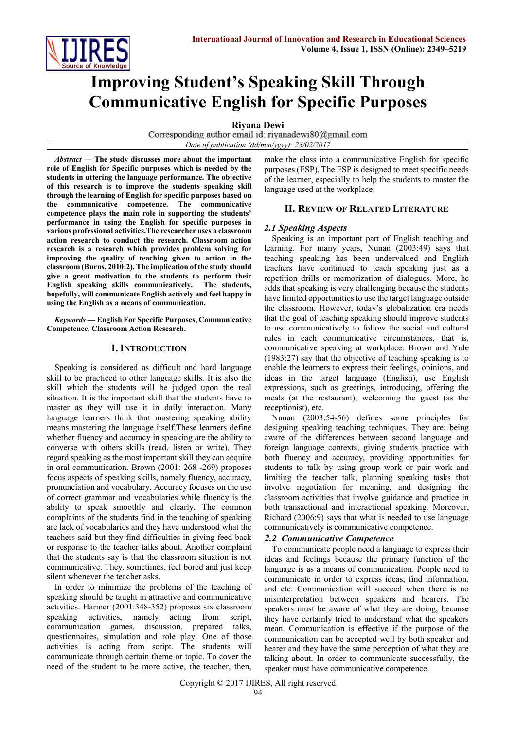

# **Improving Student's Speaking Skill Through Communicative English for Specific Purposes**

**Riyana Dewi**<br>Corresponding author email id: riyanadewi80@gmail.com *Date of publication (dd/mm/yyyy): 23/02/2017*

*Abstract* **— The study discusses more about the important role of English for Specific purposes which is needed by the students in uttering the language performance. The objective of this research is to improve the students speaking skill through the learning of English for specific purposes based on the communicative competence. The communicative competence plays the main role in supporting the students' performance in using the English for specific purposes in various professional activities.The researcher uses a classroom action research to conduct the research. Classroom action research is a research which provides problem solving for improving the quality of teaching given to action in the classroom (Burns, 2010:2). The implication of the study should give a great motivation to the students to perform their English speaking skills communicatively. The students, hopefully, will communicate English actively and feel happy in using the English as a means of communication.**

*Keywords* **— English For Specific Purposes, Communicative Competence, Classroom Action Research.**

## **I. INTRODUCTION**

Speaking is considered as difficult and hard language skill to be practiced to other language skills. It is also the skill which the students will be judged upon the real situation. It is the important skill that the students have to master as they will use it in daily interaction. Many language learners think that mastering speaking ability means mastering the language itself.These learners define whether fluency and accuracy in speaking are the ability to converse with others skills (read, listen or write). They regard speaking as the most important skill they can acquire in oral communication. Brown (2001: 268 -269) proposes focus aspects of speaking skills, namely fluency, accuracy, pronunciation and vocabulary. Accuracy focuses on the use of correct grammar and vocabularies while fluency is the ability to speak smoothly and clearly. The common complaints of the students find in the teaching of speaking are lack of vocabularies and they have understood what the teachers said but they find difficulties in giving feed back or response to the teacher talks about. Another complaint that the students say is that the classroom situation is not communicative. They, sometimes, feel bored and just keep silent whenever the teacher asks.

In order to minimize the problems of the teaching of speaking should be taught in attractive and communicative activities. Harmer (2001:348-352) proposes six classroom speaking activities, namely acting from script, communication games, discussion, prepared talks, questionnaires, simulation and role play. One of those activities is acting from script. The students will communicate through certain theme or topic. To cover the need of the student to be more active, the teacher, then,

make the class into a communicative English for specific purposes (ESP). The ESP is designed to meet specific needs of the learner, especially to help the students to master the language used at the workplace.

## **II. REVIEW OF RELATED LITERATURE**

## *2.1 Speaking Aspects*

Speaking is an important part of English teaching and learning. For many years, Nunan (2003:49) says that teaching speaking has been undervalued and English teachers have continued to teach speaking just as a repetition drills or memorization of dialogues. More, he adds that speaking is very challenging because the students have limited opportunities to use the target language outside the classroom. However, today's globalization era needs that the goal of teaching speaking should improve students to use communicatively to follow the social and cultural rules in each communicative circumstances, that is, communicative speaking at workplace. Brown and Yule (1983:27) say that the objective of teaching speaking is to enable the learners to express their feelings, opinions, and ideas in the target language (English), use English expressions, such as greetings, introducing, offering the meals (at the restaurant), welcoming the guest (as the receptionist), etc.

Nunan (2003:54-56) defines some principles for designing speaking teaching techniques. They are: being aware of the differences between second language and foreign language contexts, giving students practice with both fluency and accuracy, providing opportunities for students to talk by using group work or pair work and limiting the teacher talk, planning speaking tasks that involve negotiation for meaning, and designing the classroom activities that involve guidance and practice in both transactional and interactional speaking. Moreover, Richard (2006:9) says that what is needed to use language communicatively is communicative competence.

# *2.2 Communicative Competence*

To communicate people need a language to express their ideas and feelings because the primary function of the language is as a means of communication. People need to communicate in order to express ideas, find information, and etc. Communication will succeed when there is no misinterpretation between speakers and hearers. The speakers must be aware of what they are doing, because they have certainly tried to understand what the speakers mean. Communication is effective if the purpose of the communication can be accepted well by both speaker and hearer and they have the same perception of what they are talking about. In order to communicate successfully, the speaker must have communicative competence.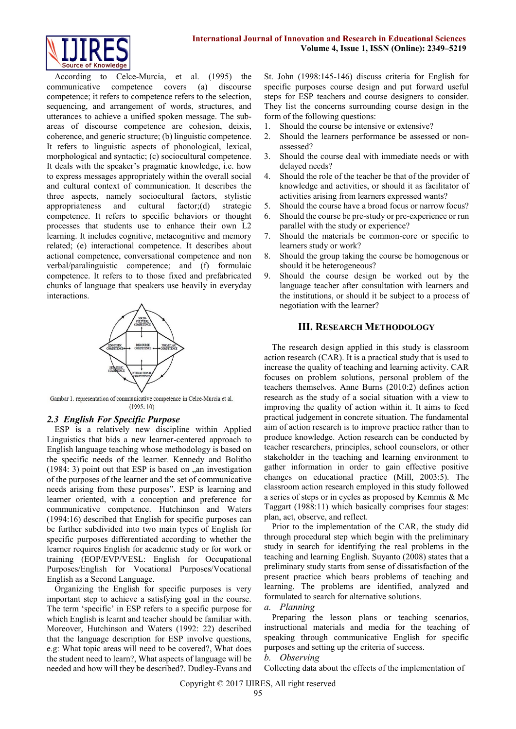

According to Celce-Murcia, et al. (1995) the communicative competence covers (a) discourse competence; it refers to competence refers to the selection, sequencing, and arrangement of words, structures, and utterances to achieve a unified spoken message. The subareas of discourse competence are cohesion, deixis, coherence, and generic structure; (b) linguistic competence. It refers to linguistic aspects of phonological, lexical, morphological and syntactic; (c) sociocultural competence. It deals with the speaker's pragmatic knowledge, i.e. how to express messages appropriately within the overall social and cultural context of communication. It describes the three aspects, namely sociocultural factors, stylistic appropriateness and cultural factor;(d) strategic competence. It refers to specific behaviors or thought processes that students use to enhance their own L2 learning. It includes cognitive, metacognitive and memory related; (e) interactional competence. It describes about actional competence, conversational competence and non verbal/paralinguistic competence; and (f) formulaic competence. It refers to to those fixed and prefabricated chunks of language that speakers use heavily in everyday interactions.



Gambar 1. representation of communicative competence in Celce-Murcia et al.  $(1995:10)$ 

# *2.3 English For Specific Purpose*

ESP is a relatively new discipline within Applied Linguistics that bids a new learner-centered approach to English language teaching whose methodology is based on the specific needs of the learner. Kennedy and Bolitho  $(1984: 3)$  point out that ESP is based on  $\alpha$  an investigation of the purposes of the learner and the set of communicative needs arising from these purposes". ESP is learning and learner oriented, with a conception and preference for communicative competence. Hutchinson and Waters (1994:16) described that English for specific purposes can be further subdivided into two main types of English for specific purposes differentiated according to whether the learner requires English for academic study or for work or training (EOP/EVP/VESL: English for Occupational Purposes/English for Vocational Purposes/Vocational English as a Second Language.

Organizing the English for specific purposes is very important step to achieve a satisfying goal in the course. The term 'specific' in ESP refers to a specific purpose for which English is learnt and teacher should be familiar with. Moreover, Hutchinson and Waters (1992: 22) described that the language description for ESP involve questions, e.g: What topic areas will need to be covered?, What does the student need to learn?, What aspects of language will be needed and how will they be described?. Dudley-Evans and St. John (1998:145-146) discuss criteria for English for specific purposes course design and put forward useful steps for ESP teachers and course designers to consider. They list the concerns surrounding course design in the form of the following questions:

- 1. Should the course be intensive or extensive?
- 2. Should the learners performance be assessed or nonassessed?
- 3. Should the course deal with immediate needs or with delayed needs?
- 4. Should the role of the teacher be that of the provider of knowledge and activities, or should it as facilitator of activities arising from learners expressed wants?
- 5. Should the course have a broad focus or narrow focus?
- 6. Should the course be pre-study or pre-experience or run parallel with the study or experience?
- 7. Should the materials be common-core or specific to learners study or work?
- 8. Should the group taking the course be homogenous or should it be heterogeneous?
- 9. Should the course design be worked out by the language teacher after consultation with learners and the institutions, or should it be subject to a process of negotiation with the learner?

## **III. RESEARCH METHODOLOGY**

The research design applied in this study is classroom action research (CAR). It is a practical study that is used to increase the quality of teaching and learning activity. CAR focuses on problem solutions, personal problem of the teachers themselves. Anne Burns (2010:2) defines action research as the study of a social situation with a view to improving the quality of action within it. It aims to feed practical judgement in concrete situation. The fundamental aim of action research is to improve practice rather than to produce knowledge. Action research can be conducted by teacher researchers, principles, school counselors, or other stakeholder in the teaching and learning environment to gather information in order to gain effective positive changes on educational practice (Mill, 2003:5). The classroom action research employed in this study followed a series of steps or in cycles as proposed by Kemmis & Mc Taggart (1988:11) which basically comprises four stages: plan, act, observe, and reflect.

Prior to the implementation of the CAR, the study did through procedural step which begin with the preliminary study in search for identifying the real problems in the teaching and learning English. Suyanto (2008) states that a preliminary study starts from sense of dissatisfaction of the present practice which bears problems of teaching and learning. The problems are identified, analyzed and formulated to search for alternative solutions.

*a. Planning*

Preparing the lesson plans or teaching scenarios, instructional materials and media for the teaching of speaking through communicative English for specific purposes and setting up the criteria of success.

## *b. Observing*

Collecting data about the effects of the implementation of

Copyright © 2017 IJIRES, All right reserved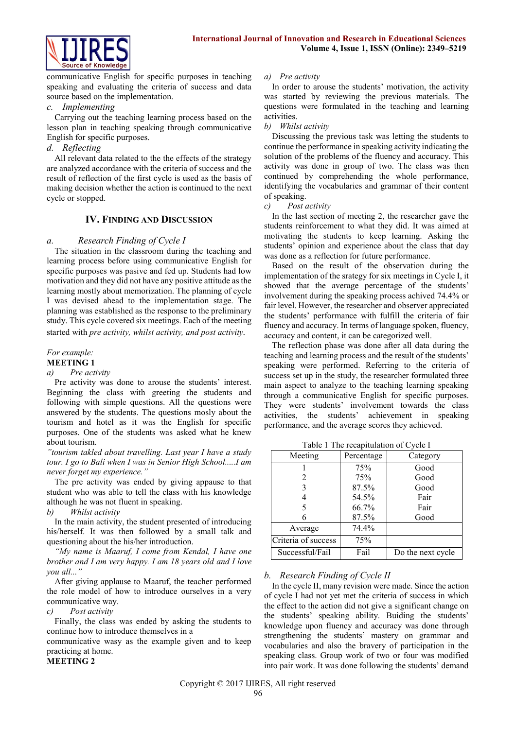

communicative English for specific purposes in teaching speaking and evaluating the criteria of success and data source based on the implementation.

## *c. Implementing*

Carrying out the teaching learning process based on the lesson plan in teaching speaking through communicative English for specific purposes.

# *d. Reflecting*

All relevant data related to the the effects of the strategy are analyzed accordance with the criteria of success and the result of reflection of the first cycle is used as the basis of making decision whether the action is continued to the next cycle or stopped.

# **IV. FINDING AND DISCUSSION**

# *a. Research Finding of Cycle I*

The situation in the classroom during the teaching and learning process before using communicative English for specific purposes was pasive and fed up. Students had low motivation and they did not have any positive attitude as the learning mostly about memorization. The planning of cycle I was devised ahead to the implementation stage. The planning was established as the response to the preliminary study. This cycle covered six meetings. Each of the meeting started with *pre activity, whilst activity, and post activity.* 

# *For example:*

#### **MEETING 1**

#### *a) Pre activity*

Pre activity was done to arouse the students' interest. Beginning the class with greeting the students and following with simple questions. All the questions were answered by the students. The questions mosly about the tourism and hotel as it was the English for specific purposes. One of the students was asked what he knew about tourism.

*"tourism takled about travelling. Last year I have a study tour. I go to Bali when I was in Senior High School.....I am never forget my experience."*

The pre activity was ended by giving appause to that student who was able to tell the class with his knowledge although he was not fluent in speaking.

*b) Whilst activity*

In the main activity, the student presented of introducing his/herself. It was then followed by a small talk and questioning about the his/her introduction.

*"My name is Maaruf, I come from Kendal, I have one brother and I am very happy. I am 18 years old and I love you all..."*

After giving applause to Maaruf, the teacher performed the role model of how to introduce ourselves in a very communicative way.

## *c) Post activity*

Finally, the class was ended by asking the students to continue how to introduce themselves in a

communicative wasy as the example given and to keep practicing at home.

**MEETING 2**

## *a) Pre activity*

In order to arouse the students' motivation, the activity was started by reviewing the previous materials. The questions were formulated in the teaching and learning activities.

## *b) Whilst activity*

Discussing the previous task was letting the students to continue the performance in speaking activity indicating the solution of the problems of the fluency and accuracy. This activity was done in group of two. The class was then continued by comprehending the whole performance, identifying the vocabularies and grammar of their content of speaking.

*c) Post activity*

In the last section of meeting 2, the researcher gave the students reinforcement to what they did. It was aimed at motivating the students to keep learning. Asking the students' opinion and experience about the class that day was done as a reflection for future performance.

Based on the result of the observation during the implementation of the srategy for six meetings in Cycle I, it showed that the average percentage of the students' involvement during the speaking process achived 74.4% or fair level. However, the researcher and observer appreciated the students' performance with fulfill the criteria of fair fluency and accuracy. In terms of language spoken, fluency, accuracy and content, it can be categorized well.

The reflection phase was done after all data during the teaching and learning process and the result of the students' speaking were performed. Referring to the criteria of success set up in the study, the researcher formulated three main aspect to analyze to the teaching learning speaking through a communicative English for specific purposes. They were students' involvement towards the class activities, the students' achievement in speaking performance, and the average scores they achieved.

Table 1 The recapitulation of Cycle I

| Meeting             | Percentage | Category          |
|---------------------|------------|-------------------|
|                     | 75%        | Good              |
| 2                   | 75%        | Good              |
|                     | 87.5%      | Good              |
|                     | 54.5%      | Fair              |
|                     | 66.7%      | Fair              |
|                     | 87.5%      | Good              |
| Average             | 74.4%      |                   |
| Criteria of success | 75%        |                   |
| Successful/Fail     | Fail       | Do the next cycle |

# *b. Research Finding of Cycle II*

In the cycle II, many revision were made. Since the action of cycle I had not yet met the criteria of success in which the effect to the action did not give a significant change on the students' speaking ability. Buiding the students' knowledge upon fluency and accuracy was done through strengthening the students' mastery on grammar and vocabularies and also the bravery of participation in the speaking class. Group work of two or four was modified into pair work. It was done following the students' demand

Copyright © 2017 IJIRES, All right reserved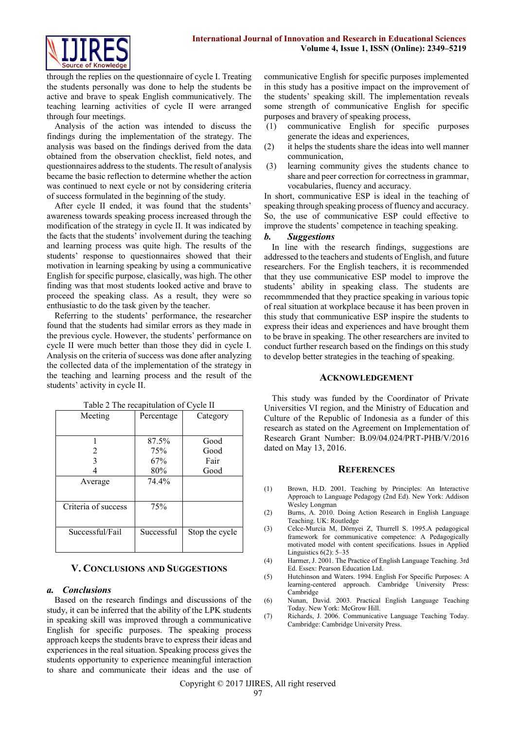

through the replies on the questionnaire of cycle I. Treating the students personally was done to help the students be active and brave to speak English communicatively. The teaching learning activities of cycle II were arranged through four meetings.

Analysis of the action was intended to discuss the findings during the implementation of the strategy. The analysis was based on the findings derived from the data obtained from the observation checklist, field notes, and questionnaires address to the students. The result of analysis became the basic reflection to determine whether the action was continued to next cycle or not by considering criteria of success formulated in the beginning of the study.

After cycle II ended, it was found that the students' awareness towards speaking process increased through the modification of the strategy in cycle II. It was indicated by the facts that the students' involvement during the teaching and learning process was quite high. The results of the students' response to questionnaires showed that their motivation in learning speaking by using a communicative English for specific purpose, clasically, was high. The other finding was that most students looked active and brave to proceed the speaking class. As a result, they were so enthusiastic to do the task given by the teacher.

Referring to the students' performance, the researcher found that the students had similar errors as they made in the previous cycle. However, the students' performance on cycle II were much better than those they did in cycle I. Analysis on the criteria of success was done after analyzing the collected data of the implementation of the strategy in the teaching and learning process and the result of the students' activity in cycle II.

| Meeting             | Percentage | Category       |
|---------------------|------------|----------------|
|                     |            |                |
|                     | 87.5%      | Good           |
| 2                   | 75%        | Good           |
| 3                   | 67%        | Fair           |
|                     | 80%        | Good           |
| Average             | 74.4%      |                |
|                     |            |                |
| Criteria of success | 75%        |                |
|                     |            |                |
| Successful/Fail     | Successful | Stop the cycle |
|                     |            |                |

Table 2 The recapitulation of Cycle II

# **V. CONCLUSIONS AND SUGGESTIONS**

## *a. Conclusions*

Based on the research findings and discussions of the study, it can be inferred that the ability of the LPK students in speaking skill was improved through a communicative English for specific purposes. The speaking process approach keeps the students brave to express their ideas and experiences in the real situation. Speaking process gives the students opportunity to experience meaningful interaction to share and communicate their ideas and the use of communicative English for specific purposes implemented in this study has a positive impact on the improvement of the students' speaking skill. The implementation reveals some strength of communicative English for specific purposes and bravery of speaking process,

- (1) communicative English for specific purposes generate the ideas and experiences,
- (2) it helps the students share the ideas into well manner communication,
- (3) learning community gives the students chance to share and peer correction for correctness in grammar, vocabularies, fluency and accuracy.

In short, communicative ESP is ideal in the teaching of speaking through speaking process of fluency and accuracy. So, the use of communicative ESP could effective to improve the students' competence in teaching speaking.

#### *b. Suggestions*

In line with the research findings, suggestions are addressed to the teachers and students of English, and future researchers. For the English teachers, it is recommended that they use communicative ESP model to improve the students' ability in speaking class. The students are recommmended that they practice speaking in various topic of real situation at workplace because it has been proven in this study that communicative ESP inspire the students to express their ideas and experiences and have brought them to be brave in speaking. The other researchers are invited to conduct further research based on the findings on this study to develop better strategies in the teaching of speaking.

#### **ACKNOWLEDGEMENT**

This study was funded by the Coordinator of Private Universities VI region, and the Ministry of Education and Culture of the Republic of Indonesia as a funder of this research as stated on the Agreement on Implementation of Research Grant Number: B.09/04.024/PRT-PHB/V/2016 dated on May 13, 2016.

#### **REFERENCES**

- (1) Brown, H.D. 2001. Teaching by Principles: An Interactive Approach to Language Pedagogy (2nd Ed). New York: Addison Wesley Longman
- (2) Burns, A. 2010. Doing Action Research in English Language Teaching. UK: Routledge
- (3) Celce-Murcia M, Dörnyei Z, Thurrell S. 1995.A pedagogical framework for communicative competence: A Pedagogically motivated model with content specifications. Issues in Applied Linguistics 6(2): 5–35
- (4) Harmer, J. 2001. The Practice of English Language Teaching. 3rd Ed. Essex: Pearson Education Ltd.
- (5) Hutchinson and Waters. 1994. English For Specific Purposes: A learning-centered approach. Cambridge University Press: Cambridge
- (6) Nunan, David. 2003. Practical English Language Teaching Today. New York: McGrow Hill.
- (7) Richards, J. 2006. Communicative Language Teaching Today. Cambridge: Cambridge University Press.

Copyright © 2017 IJIRES, All right reserved